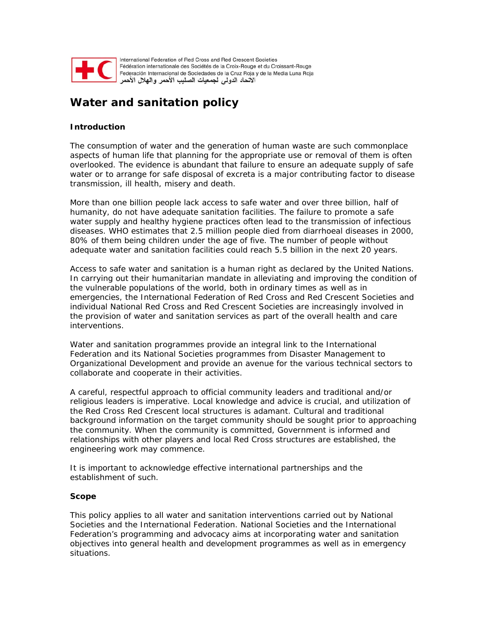

International Federation of Red Cross and Red Crescent Societies Fédération internationale des Sociétés de la Croix-Rouge et du Croissant-Rouge Federación Internacional de Sociedades de la Cruz Roja y de la Media Luna Roja الاتحاد الدولى لجمعيات الصليب الأحمر والهلال الأحمر

# **Water and sanitation policy**

# **Introduction**

The consumption of water and the generation of human waste are such commonplace aspects of human life that planning for the appropriate use or removal of them is often overlooked. The evidence is abundant that failure to ensure an adequate supply of safe water or to arrange for safe disposal of excreta is a major contributing factor to disease transmission, ill health, misery and death.

More than one billion people lack access to safe water and over three billion, half of humanity, do not have adequate sanitation facilities. The failure to promote a safe water supply and healthy hygiene practices often lead to the transmission of infectious diseases. WHO estimates that 2.5 million people died from diarrhoeal diseases in 2000, 80% of them being children under the age of five. The number of people without adequate water and sanitation facilities could reach 5.5 billion in the next 20 years.

Access to safe water and sanitation is a human right as declared by the United Nations. In carrying out their humanitarian mandate in alleviating and improving the condition of the vulnerable populations of the world, both in ordinary times as well as in emergencies, the International Federation of Red Cross and Red Crescent Societies and individual National Red Cross and Red Crescent Societies are increasingly involved in the provision of water and sanitation services as part of the overall health and care interventions.

Water and sanitation programmes provide an integral link to the International Federation and its National Societies programmes from Disaster Management to Organizational Development and provide an avenue for the various technical sectors to collaborate and cooperate in their activities.

A careful, respectful approach to official community leaders and traditional and/or religious leaders is imperative. Local knowledge and advice is crucial, and utilization of the Red Cross Red Crescent local structures is adamant. Cultural and traditional background information on the target community should be sought prior to approaching the community. When the community is committed, Government is informed and relationships with other players and local Red Cross structures are established, the engineering work may commence.

It is important to acknowledge effective international partnerships and the establishment of such.

### **Scope**

This policy applies to all water and sanitation interventions carried out by National Societies and the International Federation. National Societies and the International Federation's programming and advocacy aims at incorporating water and sanitation objectives into general health and development programmes as well as in emergency situations.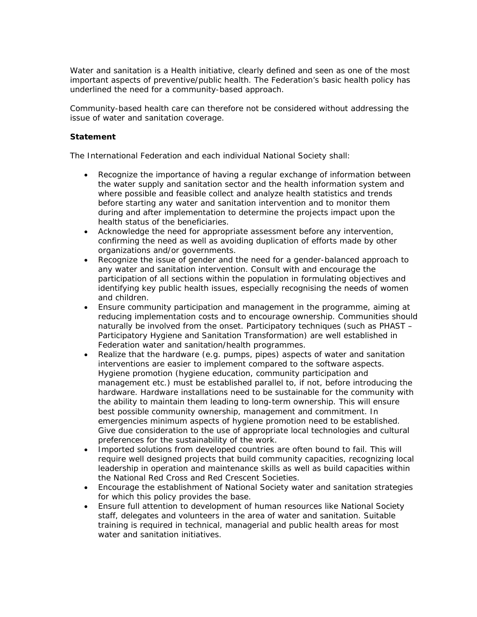Water and sanitation is a Health initiative, clearly defined and seen as one of the most important aspects of preventive/public health. The Federation's basic health policy has underlined the need for a community-based approach.

Community-based health care can therefore not be considered without addressing the issue of water and sanitation coverage.

### **Statement**

The International Federation and each individual National Society shall:

- Recognize the importance of having a regular exchange of information between the water supply and sanitation sector and the health information system and where possible and feasible collect and analyze health statistics and trends before starting any water and sanitation intervention and to monitor them during and after implementation to determine the projects impact upon the health status of the beneficiaries.
- Acknowledge the need for appropriate assessment before any intervention, confirming the need as well as avoiding duplication of efforts made by other organizations and/or governments.
- Recognize the issue of gender and the need for a gender-balanced approach to any water and sanitation intervention. Consult with and encourage the participation of all sections within the population in formulating objectives and identifying key public health issues, especially recognising the needs of women and children.
- Ensure community participation and management in the programme, aiming at reducing implementation costs and to encourage ownership. Communities should naturally be involved from the onset. Participatory techniques (such as PHAST – Participatory Hygiene and Sanitation Transformation) are well established in Federation water and sanitation/health programmes.
- Realize that the hardware (e.g. pumps, pipes) aspects of water and sanitation interventions are easier to implement compared to the software aspects. Hygiene promotion (hygiene education, community participation and management etc.) must be established parallel to, if not, before introducing the hardware. Hardware installations need to be sustainable for the community with the ability to maintain them leading to long-term ownership. This will ensure best possible community ownership, management and commitment. In emergencies minimum aspects of hygiene promotion need to be established. Give due consideration to the use of appropriate local technologies and cultural preferences for the sustainability of the work.
- Imported solutions from developed countries are often bound to fail. This will require well designed projects that build community capacities, recognizing local leadership in operation and maintenance skills as well as build capacities within the National Red Cross and Red Crescent Societies.
- Encourage the establishment of National Society water and sanitation strategies for which this policy provides the base.
- Ensure full attention to development of human resources like National Society staff, delegates and volunteers in the area of water and sanitation. Suitable training is required in technical, managerial and public health areas for most water and sanitation initiatives.